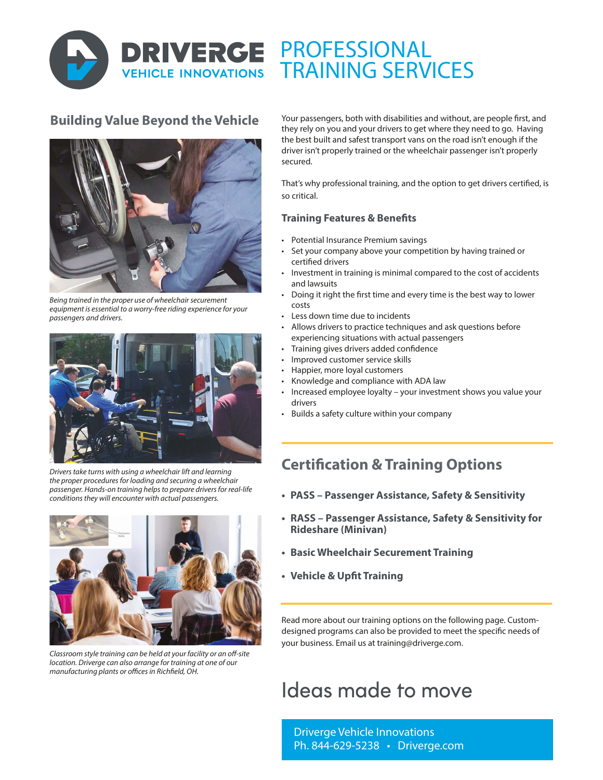

# PROFESSIONAL TRAINING SERVICES

### **Building Value Beyond the Vehicle**



*Being trained in the proper use of wheelchair securement equipment is essential to a worry-free riding experience for your passengers and drivers.*



*Drivers take turns with using a wheelchair lift and learning the proper procedures for loading and securing a wheelchair passenger. Hands-on training helps to prepare drivers for real-life conditions they will encounter with actual passengers.* 



*Classroom style training can be held at your facility or an off-site location. Driverge can also arrange for training at one of our manufacturing plants or offices in Richfield, OH.* 

Your passengers, both with disabilities and without, are people first, and they rely on you and your drivers to get where they need to go. Having the best built and safest transport vans on the road isn't enough if the driver isn't properly trained or the wheelchair passenger isn't properly secured.

That's why professional training, and the option to get drivers certified, is so critical.

#### **Training Features & Benefits**

- Potential Insurance Premium savings
- Set your company above your competition by having trained or certified drivers
- Investment in training is minimal compared to the cost of accidents and lawsuits
- Doing it right the first time and every time is the best way to lower costs
- Less down time due to incidents
- Allows drivers to practice techniques and ask questions before experiencing situations with actual passengers
- Training gives drivers added confidence
- Improved customer service skills
- Happier, more loyal customers
- Knowledge and compliance with ADA law
- Increased employee loyalty your investment shows you value your drivers
- Builds a safety culture within your company

## **Certification & Training Options**

- **• PASS Passenger Assistance, Safety & Sensitivity**
- **• RASS Passenger Assistance, Safety & Sensitivity for Rideshare (Minivan)**
- **• Basic Wheelchair Securement Training**
- **• Vehicle & Upfit Training**

Read more about our training options on the following page. Customdesigned programs can also be provided to meet the specific needs of your business. Email us at training@driverge.com.

# Ideas made to move

Driverge Vehicle Innovations Ph. 844-629-5238 • Driverge.com